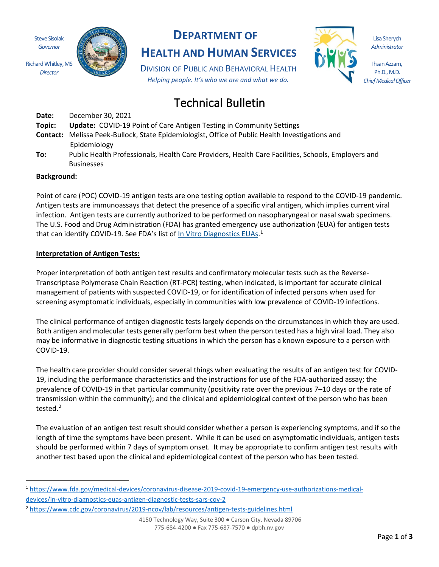Steve Sisolak *Governor*

*Director*



# **DEPARTMENT OF**

**HEALTH AND HUMAN SERVICES**

DIVISION OF PUBLIC AND BEHAVIORAL HEALTH *Helping people. It's who we are and what we do.*



Lisa Sherych *Administrator*

Ihsan Azzam, Ph.D., M.D. *Chief Medical Officer*

# Technical Bulletin

| Date:  | December 30, 2021                                                                                      |
|--------|--------------------------------------------------------------------------------------------------------|
| Topic: | <b>Update: COVID-19 Point of Care Antigen Testing in Community Settings</b>                            |
|        | <b>Contact:</b> Melissa Peek-Bullock, State Epidemiologist, Office of Public Health Investigations and |
|        | Epidemiology                                                                                           |
| To:    | Public Health Professionals, Health Care Providers, Health Care Facilities, Schools, Employers and     |
|        | <b>Businesses</b>                                                                                      |

#### **Background:**

Point of care (POC) COVID-19 antigen tests are one testing option available to respond to the COVID-19 pandemic. Antigen tests are immunoassays that detect the presence of a specific viral antigen, which implies current viral infection. Antigen tests are currently authorized to be performed on nasopharyngeal or nasal swab specimens. The U.S. Food and Drug Administration (FDA) has granted emergency use authorization (EUA) for antigen tests that can identify COVID-19. See FDA's list of In Vitro Diagnostics EUAs.<sup>1</sup>

#### **Interpretation of Antigen Tests:**

Proper interpretation of both antigen test results and confirmatory molecular tests such as the Reverse-Transcriptase Polymerase Chain Reaction (RT-PCR) testing, when indicated, is important for accurate clinical management of patients with suspected COVID-19, or for identification of infected persons when used for screening asymptomatic individuals, especially in communities with low prevalence of COVID-19 infections.

The clinical performance of antigen diagnostic tests largely depends on the circumstances in which they are used. Both antigen and molecular tests generally perform best when the person tested has a high viral load. They also may be informative in diagnostic testing situations in which the person has a known exposure to a person with COVID-19.

The health care provider should consider several things when evaluating the results of an antigen test for COVID-19, including the performance characteristics and the instructions for use of the FDA-authorized assay; the prevalence of COVID-19 in that particular community (positivity rate over the previous 7–10 days or the rate of transmission within the community); and the clinical and epidemiological context of the person who has been tested.<sup>2</sup>

The evaluation of an antigen test result should consider whether a person is experiencing symptoms, and if so the length of time the symptoms have been present. While it can be used on asymptomatic individuals, antigen tests should be performed within 7 days of symptom onset. It may be appropriate to confirm antigen test results with another test based upon the clinical and epidemiological context of the person who has been tested.

<sup>1</sup> https://www.fda.gov/medical-devices/coronavirus-disease-2019-covid-19-emergency-use-authorizations-medicaldevices/in-vitro-diagnostics-euas-antigen-diagnostic-tests-sars-cov-2

<sup>&</sup>lt;sup>2</sup> https://www.cdc.gov/coronavirus/2019-ncov/lab/resources/antigen-tests-guidelines.html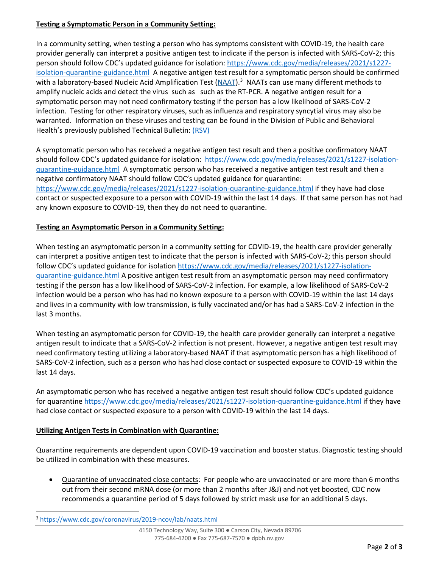# **Testing a Symptomatic Person in a Community Setting:**

In a community setting, when testing a person who has symptoms consistent with COVID-19, the health care provider generally can interpret a positive antigen test to indicate if the person is infected with SARS-CoV-2; this person should follow CDC's updated guidance for isolation: https://www.cdc.gov/media/releases/2021/s1227 isolation-quarantine-guidance.html A negative antigen test result for a symptomatic person should be confirmed with a laboratory-based Nucleic Acid Amplification Test (NAAT).<sup>3</sup> NAATs can use many different methods to amplify nucleic acids and detect the virus such as such as the RT-PCR. A negative antigen result for a symptomatic person may not need confirmatory testing if the person has a low likelihood of SARS-CoV-2 infection. Testing for other respiratory viruses, such as influenza and respiratory syncytial virus may also be warranted. Information on these viruses and testing can be found in the Division of Public and Behavioral Health's previously published Technical Bulletin: (RSV)

A symptomatic person who has received a negative antigen test result and then a positive confirmatory NAAT should follow CDC's updated guidance for isolation: https://www.cdc.gov/media/releases/2021/s1227-isolationquarantine-guidance.html A symptomatic person who has received a negative antigen test result and then a negative confirmatory NAAT should follow CDC's updated guidance for quarantine: https://www.cdc.gov/media/releases/2021/s1227-isolation-quarantine-guidance.html if they have had close contact or suspected exposure to a person with COVID-19 within the last 14 days. If that same person has not had any known exposure to COVID-19, then they do not need to quarantine.

# **Testing an Asymptomatic Person in a Community Setting:**

When testing an asymptomatic person in a community setting for COVID-19, the health care provider generally can interpret a positive antigen test to indicate that the person is infected with SARS-CoV-2; this person should follow CDC's updated guidance for isolation https://www.cdc.gov/media/releases/2021/s1227-isolationquarantine-guidance.html A positive antigen test result from an asymptomatic person may need confirmatory testing if the person has a low likelihood of SARS-CoV-2 infection. For example, a low likelihood of SARS-CoV-2 infection would be a person who has had no known exposure to a person with COVID-19 within the last 14 days and lives in a community with low transmission, is fully vaccinated and/or has had a SARS-CoV-2 infection in the last 3 months.

When testing an asymptomatic person for COVID-19, the health care provider generally can interpret a negative antigen result to indicate that a SARS-CoV-2 infection is not present. However, a negative antigen test result may need confirmatory testing utilizing a laboratory-based NAAT if that asymptomatic person has a high likelihood of SARS-CoV-2 infection, such as a person who has had close contact or suspected exposure to COVID-19 within the last 14 days.

An asymptomatic person who has received a negative antigen test result should follow CDC's updated guidance for quarantine https://www.cdc.gov/media/releases/2021/s1227-isolation-quarantine-guidance.html if they have had close contact or suspected exposure to a person with COVID-19 within the last 14 days.

# **Utilizing Antigen Tests in Combination with Quarantine:**

Quarantine requirements are dependent upon COVID-19 vaccination and booster status. Diagnostic testing should be utilized in combination with these measures.

• Quarantine of unvaccinated close contacts: For people who are unvaccinated or are more than 6 months out from their second mRNA dose (or more than 2 months after J&J) and not yet boosted, CDC now recommends a quarantine period of 5 days followed by strict mask use for an additional 5 days.

<sup>3</sup> https://www.cdc.gov/coronavirus/2019-ncov/lab/naats.html